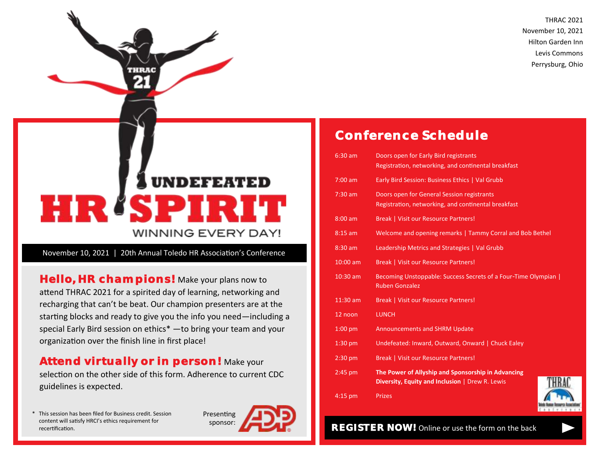THRAC 2021 November 10, 2021 Hilton Garden Inn Levis Commons Perrysburg, Ohio

# UNDEFEATED HRUSPI R **WINNING EVERY DAY!**

November 10, 2021 | 20th Annual Toledo HR Association's Conference

**Hello, HR champions!** Make your plans now to attend THRAC 2021 for a spirited day of learning, networking and recharging that can't be beat. Our champion presenters are at the starting blocks and ready to give you the info you need—including a special Early Bird session on ethics\* —to bring your team and your organization over the finish line in first place!

**Attend virtually or in person!** Make your selection on the other side of this form. Adherence to current CDC guidelines is expected.

This session has been filed for Business credit. Session content will satisfy HRCI's ethics requirement for recertification.



## **Conference Schedule**

| 6:30 am   | Doors open for Early Bird registrants<br>Registration, networking, and continental breakfast          |  |  |
|-----------|-------------------------------------------------------------------------------------------------------|--|--|
| $7:00$ am | Early Bird Session: Business Ethics   Val Grubb                                                       |  |  |
| $7:30$ am | Doors open for General Session registrants<br>Registration, networking, and continental breakfast     |  |  |
| $8:00$ am | Break   Visit our Resource Partners!                                                                  |  |  |
| $8:15$ am | Welcome and opening remarks   Tammy Corral and Bob Bethel                                             |  |  |
| 8:30 am   | Leadership Metrics and Strategies   Val Grubb                                                         |  |  |
| 10:00 am  | Break   Visit our Resource Partners!                                                                  |  |  |
| 10:30 am  | Becoming Unstoppable: Success Secrets of a Four-Time Olympian  <br><b>Ruben Gonzalez</b>              |  |  |
| 11:30 am  | <b>Break   Visit our Resource Partners!</b>                                                           |  |  |
| 12 noon   | <b>LUNCH</b>                                                                                          |  |  |
| $1:00$ pm | <b>Announcements and SHRM Update</b>                                                                  |  |  |
| $1:30$ pm | Undefeated: Inward, Outward, Onward   Chuck Ealey                                                     |  |  |
| $2:30$ pm | Break   Visit our Resource Partners!                                                                  |  |  |
| $2:45$ pm | The Power of Allyship and Sponsorship in Advancing<br>Diversity, Equity and Inclusion   Drew R. Lewis |  |  |
| $4:15$ pm | <b>Prizes</b>                                                                                         |  |  |



**REGISTER NOW!** Online or use the form on the back